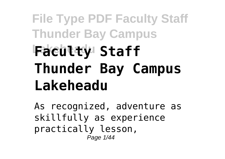## **File Type PDF Faculty Staff Thunder Bay Campus Lakeheadu Faculty Staff Thunder Bay Campus Lakeheadu**

As recognized, adventure as skillfully as experience practically lesson, Page 1/44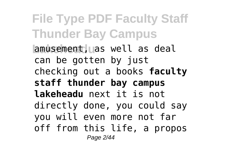**File Type PDF Faculty Staff Thunder Bay Campus Lamusement, as well as deal** can be gotten by just checking out a books **faculty staff thunder bay campus lakeheadu** next it is not directly done, you could say you will even more not far off from this life, a propos Page 2/44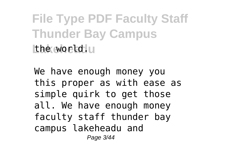**File Type PDF Faculty Staff Thunder Bay Campus** Lake world.

We have enough money you this proper as with ease as simple quirk to get those all. We have enough money faculty staff thunder bay campus lakeheadu and Page 3/44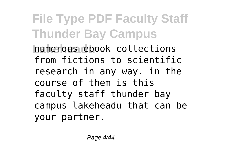**File Type PDF Faculty Staff Thunder Bay Campus Lakeheadu** numerous ebook collections from fictions to scientific research in any way. in the course of them is this faculty staff thunder bay campus lakeheadu that can be your partner.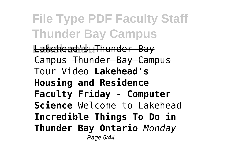**File Type PDF Faculty Staff Thunder Bay Campus** Lakehead's Thunder Bay Campus Thunder Bay Campus Tour Video **Lakehead's Housing and Residence Faculty Friday - Computer Science** Welcome to Lakehead **Incredible Things To Do in Thunder Bay Ontario** *Monday* Page 5/44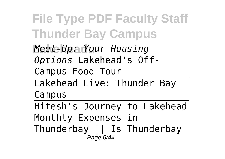**File Type PDF Faculty Staff Thunder Bay Campus Lakeheadu** *Meet-Up: Your Housing Options* Lakehead's Off-Campus Food Tour Lakehead Live: Thunder Bay Campus Hitesh's Journey to Lakehead Monthly Expenses in Thunderbay || Is Thunderbay Page 6/44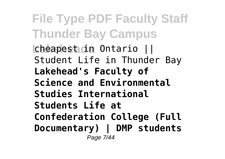**File Type PDF Faculty Staff Thunder Bay Campus Cheapest in Ontario ||** Student Life in Thunder Bay **Lakehead's Faculty of Science and Environmental Studies International Students Life at Confederation College (Full Documentary) | DMP students** Page 7/44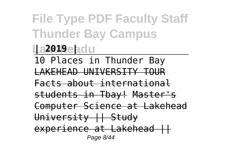**File Type PDF Faculty Staff Thunder Bay Campus**

**Lakeheadu | 2019 |**

10 Places in Thunder Bay LAKEHEAD UNIVERSITY TOUR Facts about international students in Tbay! Master's Computer Science at Lakehead University || Study experience at Lakehead | |

Page 8/44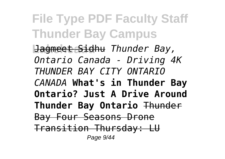**File Type PDF Faculty Staff Thunder Bay Campus Lakeheadu** Jagmeet Sidhu *Thunder Bay, Ontario Canada - Driving 4K THUNDER BAY CITY ONTARIO CANADA* **What's in Thunder Bay Ontario? Just A Drive Around Thunder Bay Ontario** Thunder Bay Four Seasons Drone Transition Thursday: LU Page 9/44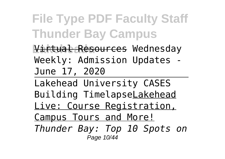**File Type PDF Faculty Staff Thunder Bay Campus**

Virtual Resources Wednesday Weekly: Admission Updates - June 17, 2020

Lakehead University CASES Building TimelapseLakehead Live: Course Registration, Campus Tours and More! *Thunder Bay: Top 10 Spots on* Page 10/44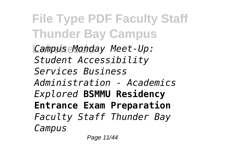**File Type PDF Faculty Staff Thunder Bay Campus Lakeheadu** *Campus Monday Meet-Up: Student Accessibility Services Business Administration - Academics Explored* **BSMMU Residency Entrance Exam Preparation** *Faculty Staff Thunder Bay Campus*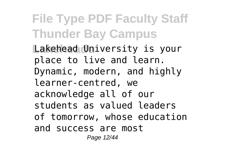**File Type PDF Faculty Staff Thunder Bay Campus** Lakehead University is your place to live and learn. Dynamic, modern, and highly learner-centred, we acknowledge all of our students as valued leaders of tomorrow, whose education and success are most Page 12/44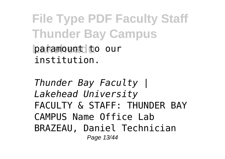**File Type PDF Faculty Staff Thunder Bay Campus paramount** to our institution.

*Thunder Bay Faculty | Lakehead University* FACULTY & STAFF · THUNDER BAY CAMPUS Name Office Lab BRAZEAU, Daniel Technician Page 13/44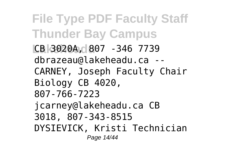**File Type PDF Faculty Staff Thunder Bay Campus Lakeheadu** CB 3020A, 807 -346 7739 dbrazeau@lakeheadu.ca -- CARNEY, Joseph Faculty Chair Biology CB 4020, 807-766-7223 jcarney@lakeheadu.ca CB 3018, 807-343-8515 DYSIEVICK, Kristi Technician Page 14/44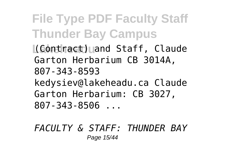**File Type PDF Faculty Staff Thunder Bay Campus**

**L**(Contract) and Staff, Claude Garton Herbarium CB 3014A, 807-343-8593 kedysiev@lakeheadu.ca Claude Garton Herbarium: CB 3027, 807-343-8506 ...

*FACULTY & STAFF: THUNDER BAY* Page 15/44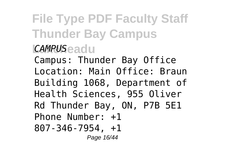## **File Type PDF Faculty Staff Thunder Bay Campus Lakeheadu** *CAMPUS*

Campus: Thunder Bay Office Location: Main Office: Braun Building 1068, Department of Health Sciences, 955 Oliver Rd Thunder Bay, ON, P7B 5E1 Phone Number: +1 807-346-7954, +1 Page 16/44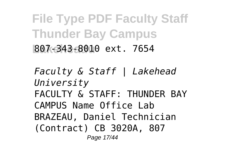**File Type PDF Faculty Staff Thunder Bay Campus Lakeheadu** 807-343-8010 ext. 7654

*Faculty & Staff | Lakehead University* FACULTY & STAFF · THUNDER RAY CAMPUS Name Office Lab BRAZEAU, Daniel Technician (Contract) CB 3020A, 807 Page 17/44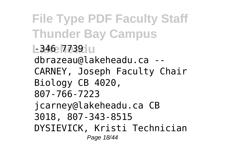**File Type PDF Faculty Staff Thunder Bay Campus L-346 7739 LI** dbrazeau@lakeheadu.ca -- CARNEY, Joseph Faculty Chair Biology CB 4020, 807-766-7223 jcarney@lakeheadu.ca CB 3018, 807-343-8515 DYSIEVICK, Kristi Technician Page 18/44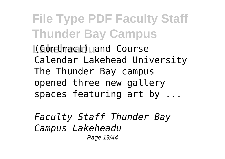**File Type PDF Faculty Staff Thunder Bay Campus L**(Contract) and Course Calendar Lakehead University The Thunder Bay campus opened three new gallery spaces featuring art by ...

*Faculty Staff Thunder Bay Campus Lakeheadu* Page 19/44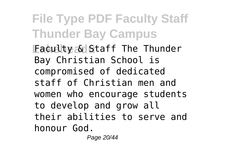**File Type PDF Faculty Staff Thunder Bay Campus Eaculty & Staff The Thunder** Bay Christian School is compromised of dedicated staff of Christian men and women who encourage students to develop and grow all their abilities to serve and honour God.

Page 20/44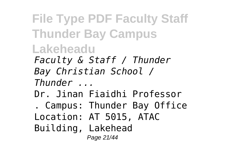**File Type PDF Faculty Staff Thunder Bay Campus Lakeheadu** *Faculty & Staff / Thunder Bay Christian School / Thunder ...* Dr. Jinan Fiaidhi Professor . Campus: Thunder Bay Office Location: AT 5015, ATAC Building, Lakehead Page 21/44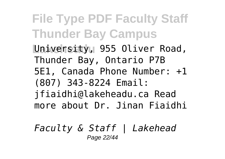**File Type PDF Faculty Staff Thunder Bay Campus** University, 955 Oliver Road, Thunder Bay, Ontario P7B 5E1, Canada Phone Number: +1 (807) 343-8224 Email: jfiaidhi@lakeheadu.ca Read more about Dr. Jinan Fiaidhi

*Faculty & Staff | Lakehead* Page 22/44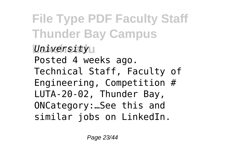**File Type PDF Faculty Staff Thunder Bay Campus** *University* Posted 4 weeks ago. Technical Staff, Faculty of Engineering, Competition # LUTA-20-02, Thunder Bay, ONCategory:…See this and similar jobs on LinkedIn.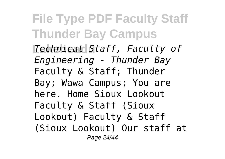**File Type PDF Faculty Staff Thunder Bay Campus Lakeheadu** *Technical Staff, Faculty of Engineering - Thunder Bay* Faculty & Staff; Thunder Bay; Wawa Campus; You are here. Home Sioux Lookout Faculty & Staff (Sioux Lookout) Faculty & Staff (Sioux Lookout) Our staff at Page 24/44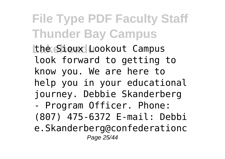**File Type PDF Faculty Staff Thunder Bay Campus the Sioux Lookout Campus** look forward to getting to know you. We are here to help you in your educational journey. Debbie Skanderberg - Program Officer. Phone: (807) 475-6372 E-mail: Debbi e.Skanderberg@confederationc Page 25/44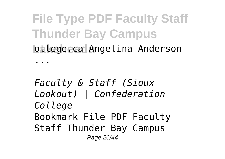**File Type PDF Faculty Staff Thunder Bay Campus Lakehead Angelina Anderson** 

...

*Faculty & Staff (Sioux Lookout) | Confederation College* Bookmark File PDF Faculty Staff Thunder Bay Campus Page 26/44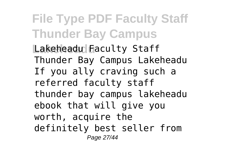**File Type PDF Faculty Staff Thunder Bay Campus** Lakeheadu Faculty Staff Thunder Bay Campus Lakeheadu If you ally craving such a referred faculty staff thunder bay campus lakeheadu ebook that will give you worth, acquire the definitely best seller from Page 27/44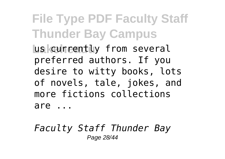**File Type PDF Faculty Staff Thunder Bay Campus Las currently from several** preferred authors. If you desire to witty books, lots of novels, tale, jokes, and more fictions collections are ...

*Faculty Staff Thunder Bay* Page 28/44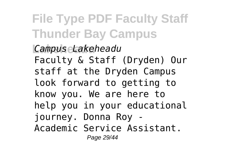**File Type PDF Faculty Staff Thunder Bay Campus**

**Lakeheadu** *Campus Lakeheadu* Faculty & Staff (Dryden) Our staff at the Dryden Campus look forward to getting to know you. We are here to help you in your educational journey. Donna Roy - Academic Service Assistant. Page 29/44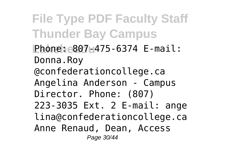**File Type PDF Faculty Staff Thunder Bay Campus Lakeheadu** Phone: 807-475-6374 E-mail: Donna.Roy @confederationcollege.ca Angelina Anderson - Campus Director. Phone: (807) 223-3035 Ext. 2 E-mail: ange lina@confederationcollege.ca Anne Renaud, Dean, Access Page 30/44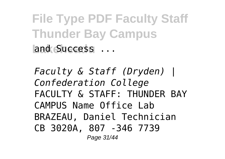**File Type PDF Faculty Staff Thunder Bay Campus** land Success ...

*Faculty & Staff (Dryden) | Confederation College* FACULTY & STAFF · THUNDER BAY CAMPUS Name Office Lab BRAZEAU, Daniel Technician CB 3020A, 807 -346 7739 Page 31/44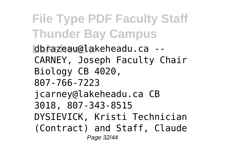**File Type PDF Faculty Staff Thunder Bay Campus Lakeheadu** dbrazeau@lakeheadu.ca -- CARNEY, Joseph Faculty Chair Biology CB 4020, 807-766-7223 jcarney@lakeheadu.ca CB 3018, 807-343-8515 DYSIEVICK, Kristi Technician (Contract) and Staff, Claude Page 32/44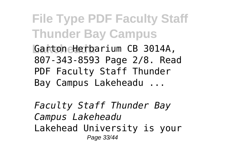**File Type PDF Faculty Staff Thunder Bay Campus Lakeheadu** Garton Herbarium CB 3014A, 807-343-8593 Page 2/8. Read PDF Faculty Staff Thunder Bay Campus Lakeheadu ...

*Faculty Staff Thunder Bay Campus Lakeheadu* Lakehead University is your Page 33/44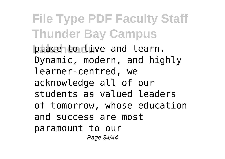**File Type PDF Faculty Staff Thunder Bay Campus place to live and learn.** Dynamic, modern, and highly learner-centred, we acknowledge all of our students as valued leaders of tomorrow, whose education and success are most paramount to our Page 34/44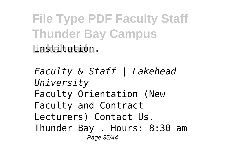**File Type PDF Faculty Staff Thunder Bay Campus Lakeheadu** institution.

*Faculty & Staff | Lakehead University* Faculty Orientation (New Faculty and Contract Lecturers) Contact Us. Thunder Bay . Hours: 8:30 am Page 35/44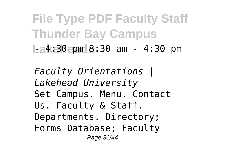**File Type PDF Faculty Staff Thunder Bay Campus Lakeheadu** - 4:30 pm 8:30 am - 4:30 pm

*Faculty Orientations | Lakehead University* Set Campus. Menu. Contact Us. Faculty & Staff. Departments. Directory; Forms Database; Faculty Page 36/44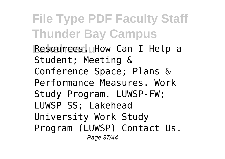**File Type PDF Faculty Staff Thunder Bay Campus Resources. How Can I Help a** Student; Meeting & Conference Space; Plans & Performance Measures. Work Study Program. LUWSP-FW; LUWSP-SS; Lakehead University Work Study Program (LUWSP) Contact Us. Page 37/44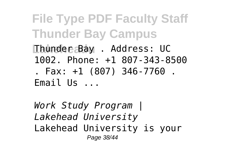**File Type PDF Faculty Staff Thunder Bay Campus Lakeheadu** Thunder Bay . Address: UC 1002. Phone: +1 807-343-8500 . Fax: +1 (807) 346-7760 . Email Us ...

*Work Study Program | Lakehead University* Lakehead University is your Page 38/44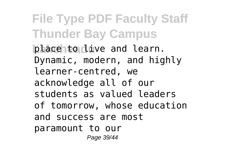**File Type PDF Faculty Staff Thunder Bay Campus place to live and learn.** Dynamic, modern, and highly learner-centred, we acknowledge all of our students as valued leaders of tomorrow, whose education and success are most paramount to our Page 39/44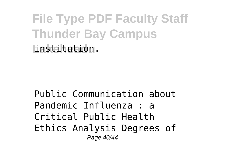**File Type PDF Faculty Staff Thunder Bay Campus Lakeheadu** institution.

Public Communication about Pandemic Influenza : a Critical Public Health Ethics Analysis Degrees of Page 40/44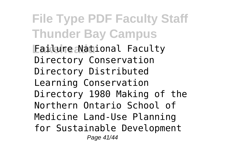**File Type PDF Faculty Staff Thunder Bay Campus Failure National Faculty** Directory Conservation Directory Distributed Learning Conservation Directory 1980 Making of the Northern Ontario School of Medicine Land-Use Planning for Sustainable Development Page 41/44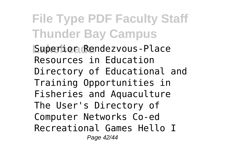**File Type PDF Faculty Staff Thunder Bay Campus Superior Rendezvous-Place** Resources in Education Directory of Educational and Training Opportunities in Fisheries and Aquaculture The User's Directory of Computer Networks Co-ed Recreational Games Hello I Page 42/44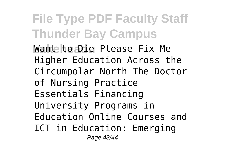**File Type PDF Faculty Staff Thunder Bay Campus Want to Die Please Fix Me** Higher Education Across the Circumpolar North The Doctor of Nursing Practice Essentials Financing University Programs in Education Online Courses and ICT in Education: Emerging Page 43/44